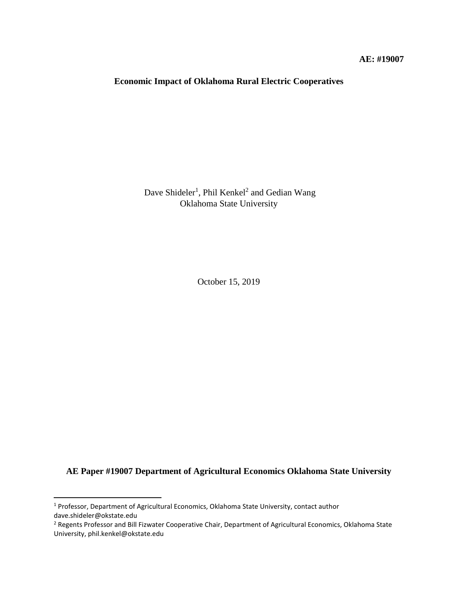# **Economic Impact of Oklahoma Rural Electric Cooperatives**

Dave Shideler<sup>1</sup>, Phil Kenkel<sup>2</sup> and Gedian Wang Oklahoma State University

October 15, 2019

**AE Paper #19007 Department of Agricultural Economics Oklahoma State University**

l

<sup>1</sup> Professor, Department of Agricultural Economics, Oklahoma State University, contact author dave.shideler@okstate.edu

<sup>&</sup>lt;sup>2</sup> Regents Professor and Bill Fizwater Cooperative Chair, Department of Agricultural Economics, Oklahoma State University, phil.kenkel@okstate.edu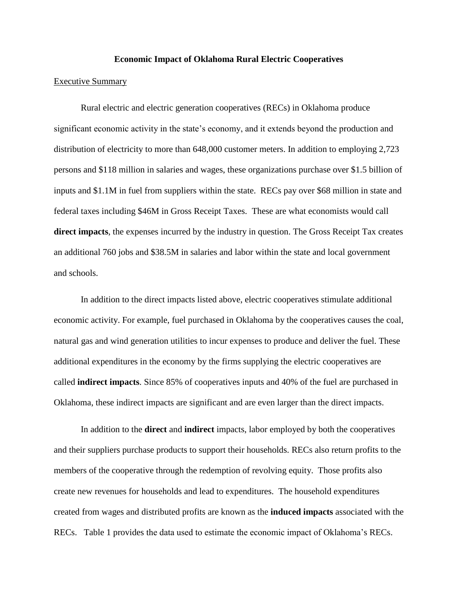#### **Economic Impact of Oklahoma Rural Electric Cooperatives**

#### Executive Summary

Rural electric and electric generation cooperatives (RECs) in Oklahoma produce significant economic activity in the state's economy, and it extends beyond the production and distribution of electricity to more than 648,000 customer meters. In addition to employing 2,723 persons and \$118 million in salaries and wages, these organizations purchase over \$1.5 billion of inputs and \$1.1M in fuel from suppliers within the state. RECs pay over \$68 million in state and federal taxes including \$46M in Gross Receipt Taxes. These are what economists would call **direct impacts**, the expenses incurred by the industry in question. The Gross Receipt Tax creates an additional 760 jobs and \$38.5M in salaries and labor within the state and local government and schools.

In addition to the direct impacts listed above, electric cooperatives stimulate additional economic activity. For example, fuel purchased in Oklahoma by the cooperatives causes the coal, natural gas and wind generation utilities to incur expenses to produce and deliver the fuel. These additional expenditures in the economy by the firms supplying the electric cooperatives are called **indirect impacts**. Since 85% of cooperatives inputs and 40% of the fuel are purchased in Oklahoma, these indirect impacts are significant and are even larger than the direct impacts.

In addition to the **direct** and **indirect** impacts, labor employed by both the cooperatives and their suppliers purchase products to support their households. RECs also return profits to the members of the cooperative through the redemption of revolving equity. Those profits also create new revenues for households and lead to expenditures. The household expenditures created from wages and distributed profits are known as the **induced impacts** associated with the RECs. Table 1 provides the data used to estimate the economic impact of Oklahoma's RECs.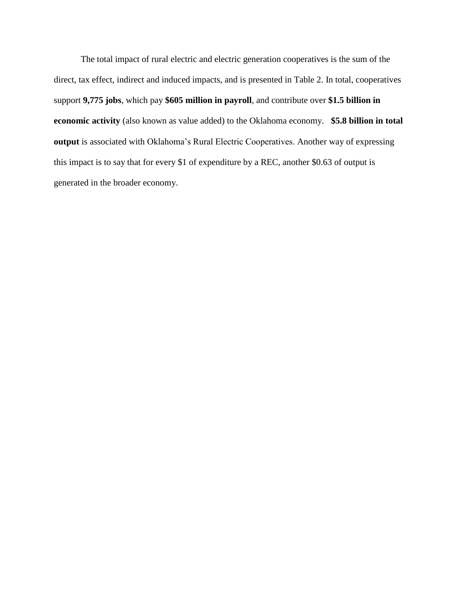The total impact of rural electric and electric generation cooperatives is the sum of the direct, tax effect, indirect and induced impacts, and is presented in Table 2. In total, cooperatives support **9,775 jobs**, which pay **\$605 million in payroll**, and contribute over **\$1.5 billion in economic activity** (also known as value added) to the Oklahoma economy. **\$5.8 billion in total output** is associated with Oklahoma's Rural Electric Cooperatives. Another way of expressing this impact is to say that for every \$1 of expenditure by a REC, another \$0.63 of output is generated in the broader economy.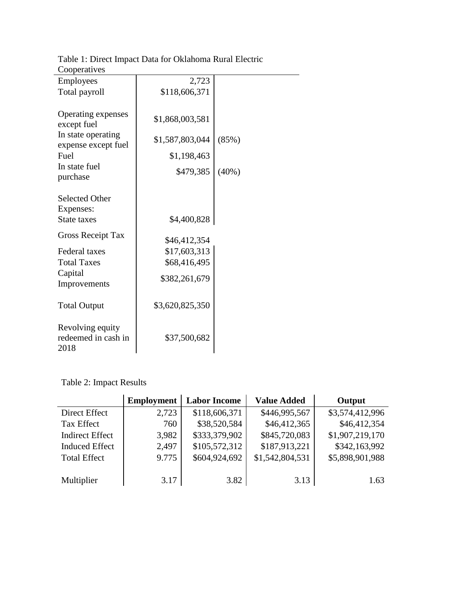| Employees                   | 2,723           |       |
|-----------------------------|-----------------|-------|
| Total payroll               | \$118,606,371   |       |
|                             |                 |       |
| Operating expenses          | \$1,868,003,581 |       |
| except fuel                 |                 |       |
| In state operating          | \$1,587,803,044 | (85%) |
| expense except fuel<br>Fuel | \$1,198,463     |       |
| In state fuel               |                 |       |
| purchase                    | \$479,385       | (40%) |
|                             |                 |       |
| <b>Selected Other</b>       |                 |       |
| Expenses:                   |                 |       |
| State taxes                 | \$4,400,828     |       |
| <b>Gross Receipt Tax</b>    |                 |       |
|                             | \$46,412,354    |       |
| <b>Federal taxes</b>        | \$17,603,313    |       |
| <b>Total Taxes</b>          | \$68,416,495    |       |
| Capital<br>Improvements     | \$382,261,679   |       |
|                             |                 |       |
| <b>Total Output</b>         | \$3,620,825,350 |       |
|                             |                 |       |
| Revolving equity            |                 |       |
| redeemed in cash in         | \$37,500,682    |       |
| 2018                        |                 |       |

Table 1: Direct Impact Data for Oklahoma Rural Electric Cooperatives

Table 2: Impact Results

|                        | <b>Employment</b> | <b>Labor Income</b> | <b>Value Added</b> | Output          |
|------------------------|-------------------|---------------------|--------------------|-----------------|
| Direct Effect          | 2,723             | \$118,606,371       | \$446,995,567      | \$3,574,412,996 |
| <b>Tax Effect</b>      | 760               | \$38,520,584        | \$46,412,365       | \$46,412,354    |
| <b>Indirect Effect</b> | 3,982             | \$333,379,902       | \$845,720,083      | \$1,907,219,170 |
| <b>Induced Effect</b>  | 2,497             | \$105,572,312       | \$187,913,221      | \$342,163,992   |
| <b>Total Effect</b>    | 9.775             | \$604,924,692       | \$1,542,804,531    | \$5,898,901,988 |
|                        |                   |                     |                    |                 |
| Multiplier             | 3.17              | 3.82                | 3.13               | 1.63            |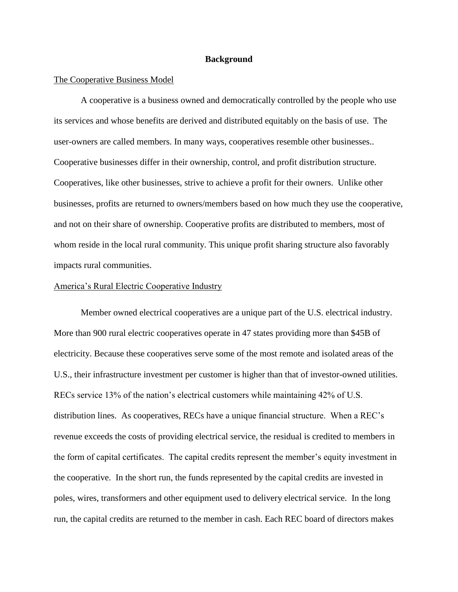#### **Background**

#### The Cooperative Business Model

A cooperative is a business owned and democratically controlled by the people who use its services and whose benefits are derived and distributed equitably on the basis of use. The user-owners are called members. In many ways, cooperatives resemble other businesses.. Cooperative businesses differ in their ownership, control, and profit distribution structure. Cooperatives, like other businesses, strive to achieve a profit for their owners. Unlike other businesses, profits are returned to owners/members based on how much they use the cooperative, and not on their share of ownership. Cooperative profits are distributed to members, most of whom reside in the local rural community. This unique profit sharing structure also favorably impacts rural communities.

## America's Rural Electric Cooperative Industry

Member owned electrical cooperatives are a unique part of the U.S. electrical industry. More than 900 rural electric cooperatives operate in 47 states providing more than \$45B of electricity. Because these cooperatives serve some of the most remote and isolated areas of the U.S., their infrastructure investment per customer is higher than that of investor-owned utilities. RECs service 13% of the nation's electrical customers while maintaining 42% of U.S. distribution lines. As cooperatives, RECs have a unique financial structure. When a REC's revenue exceeds the costs of providing electrical service, the residual is credited to members in the form of capital certificates. The capital credits represent the member's equity investment in the cooperative. In the short run, the funds represented by the capital credits are invested in poles, wires, transformers and other equipment used to delivery electrical service. In the long run, the capital credits are returned to the member in cash. Each REC board of directors makes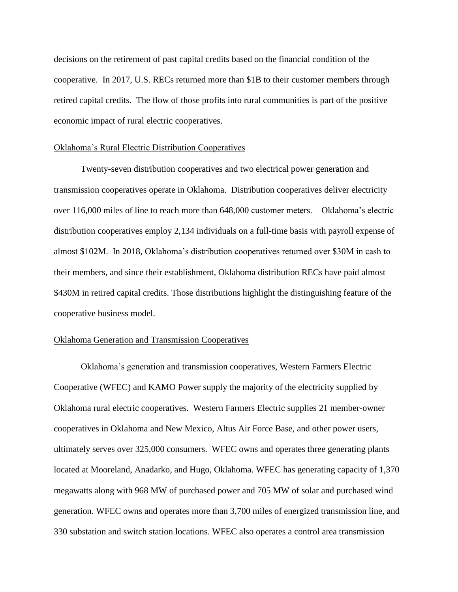decisions on the retirement of past capital credits based on the financial condition of the cooperative. In 2017, U.S. RECs returned more than \$1B to their customer members through retired capital credits. The flow of those profits into rural communities is part of the positive economic impact of rural electric cooperatives.

#### Oklahoma's Rural Electric Distribution Cooperatives

Twenty-seven distribution cooperatives and two electrical power generation and transmission cooperatives operate in Oklahoma. Distribution cooperatives deliver electricity over 116,000 miles of line to reach more than 648,000 customer meters. Oklahoma's electric distribution cooperatives employ 2,134 individuals on a full-time basis with payroll expense of almost \$102M. In 2018, Oklahoma's distribution cooperatives returned over \$30M in cash to their members, and since their establishment, Oklahoma distribution RECs have paid almost \$430M in retired capital credits. Those distributions highlight the distinguishing feature of the cooperative business model.

## Oklahoma Generation and Transmission Cooperatives

Oklahoma's generation and transmission cooperatives, Western Farmers Electric Cooperative (WFEC) and KAMO Power supply the majority of the electricity supplied by Oklahoma rural electric cooperatives. Western Farmers Electric supplies 21 member-owner cooperatives in Oklahoma and New Mexico, Altus Air Force Base, and other power users, ultimately serves over 325,000 consumers. WFEC owns and operates three generating plants located at Mooreland, Anadarko, and Hugo, Oklahoma. WFEC has generating capacity of 1,370 megawatts along with 968 MW of purchased power and 705 MW of solar and purchased wind generation. WFEC owns and operates more than 3,700 miles of energized transmission line, and 330 substation and switch station locations. WFEC also operates a control area transmission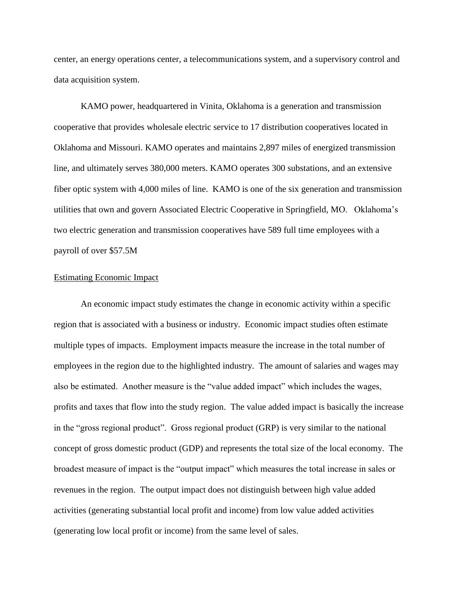center, an energy operations center, a telecommunications system, and a supervisory control and data acquisition system.

KAMO power, headquartered in Vinita, Oklahoma is a generation and transmission cooperative that provides wholesale electric service to 17 distribution cooperatives located in Oklahoma and Missouri. KAMO operates and maintains 2,897 miles of energized transmission line, and ultimately serves 380,000 meters. KAMO operates 300 substations, and an extensive fiber optic system with 4,000 miles of line. KAMO is one of the six generation and transmission utilities that own and govern Associated Electric Cooperative in Springfield, MO. Oklahoma's two electric generation and transmission cooperatives have 589 full time employees with a payroll of over \$57.5M

## Estimating Economic Impact

An economic impact study estimates the change in economic activity within a specific region that is associated with a business or industry. Economic impact studies often estimate multiple types of impacts. Employment impacts measure the increase in the total number of employees in the region due to the highlighted industry. The amount of salaries and wages may also be estimated. Another measure is the "value added impact" which includes the wages, profits and taxes that flow into the study region. The value added impact is basically the increase in the "gross regional product". Gross regional product (GRP) is very similar to the national concept of gross domestic product (GDP) and represents the total size of the local economy. The broadest measure of impact is the "output impact" which measures the total increase in sales or revenues in the region. The output impact does not distinguish between high value added activities (generating substantial local profit and income) from low value added activities (generating low local profit or income) from the same level of sales.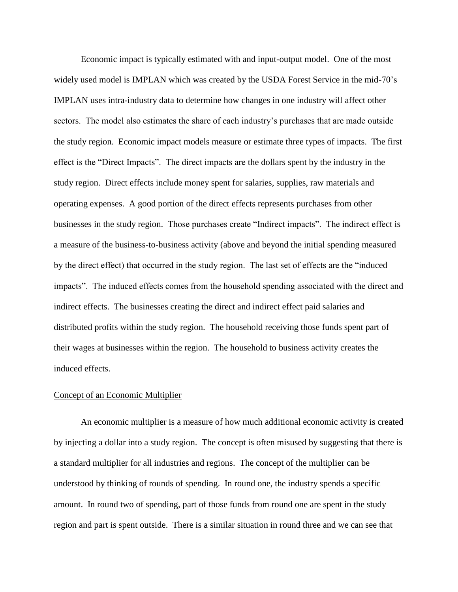Economic impact is typically estimated with and input-output model. One of the most widely used model is IMPLAN which was created by the USDA Forest Service in the mid-70's IMPLAN uses intra-industry data to determine how changes in one industry will affect other sectors. The model also estimates the share of each industry's purchases that are made outside the study region. Economic impact models measure or estimate three types of impacts. The first effect is the "Direct Impacts". The direct impacts are the dollars spent by the industry in the study region. Direct effects include money spent for salaries, supplies, raw materials and operating expenses. A good portion of the direct effects represents purchases from other businesses in the study region. Those purchases create "Indirect impacts". The indirect effect is a measure of the business-to-business activity (above and beyond the initial spending measured by the direct effect) that occurred in the study region. The last set of effects are the "induced impacts". The induced effects comes from the household spending associated with the direct and indirect effects. The businesses creating the direct and indirect effect paid salaries and distributed profits within the study region. The household receiving those funds spent part of their wages at businesses within the region. The household to business activity creates the induced effects.

## Concept of an Economic Multiplier

An economic multiplier is a measure of how much additional economic activity is created by injecting a dollar into a study region. The concept is often misused by suggesting that there is a standard multiplier for all industries and regions. The concept of the multiplier can be understood by thinking of rounds of spending. In round one, the industry spends a specific amount. In round two of spending, part of those funds from round one are spent in the study region and part is spent outside. There is a similar situation in round three and we can see that